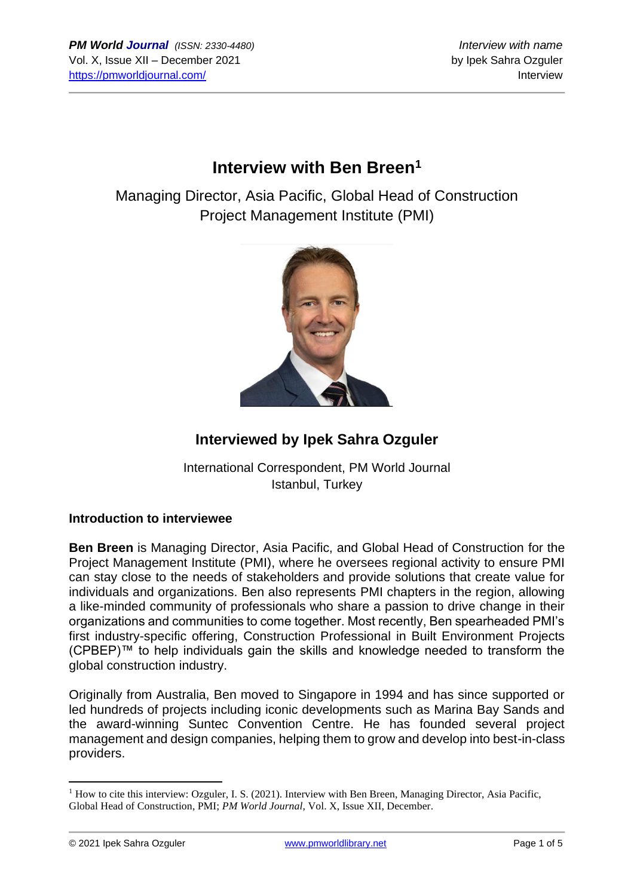# **Interview with Ben Breen<sup>1</sup>**

Managing Director, Asia Pacific, Global Head of Construction Project Management Institute (PMI)



## **Interviewed by Ipek Sahra Ozguler**

International Correspondent, PM World Journal Istanbul, Turkey

#### **Introduction to interviewee**

**Ben Breen** is Managing Director, Asia Pacific, and Global Head of Construction for the Project Management Institute (PMI), where he oversees regional activity to ensure PMI can stay close to the needs of stakeholders and provide solutions that create value for individuals and organizations. Ben also represents PMI chapters in the region, allowing a like-minded community of professionals who share a passion to drive change in their organizations and communities to come together. Most recently, Ben spearheaded PMI's first industry-specific offering, Construction Professional in Built Environment Projects (CPBEP)™ to help individuals gain the skills and knowledge needed to transform the global construction industry.

Originally from Australia, Ben moved to Singapore in 1994 and has since supported or led hundreds of projects including iconic developments such as Marina Bay Sands and the award-winning Suntec Convention Centre. He has founded several project management and design companies, helping them to grow and develop into best-in-class providers.

<sup>&</sup>lt;sup>1</sup> How to cite this interview: Ozguler, I. S. (2021). Interview with Ben Breen, Managing Director, Asia Pacific, Global Head of Construction, PMI; *PM World Journal*, Vol. X, Issue XII, December.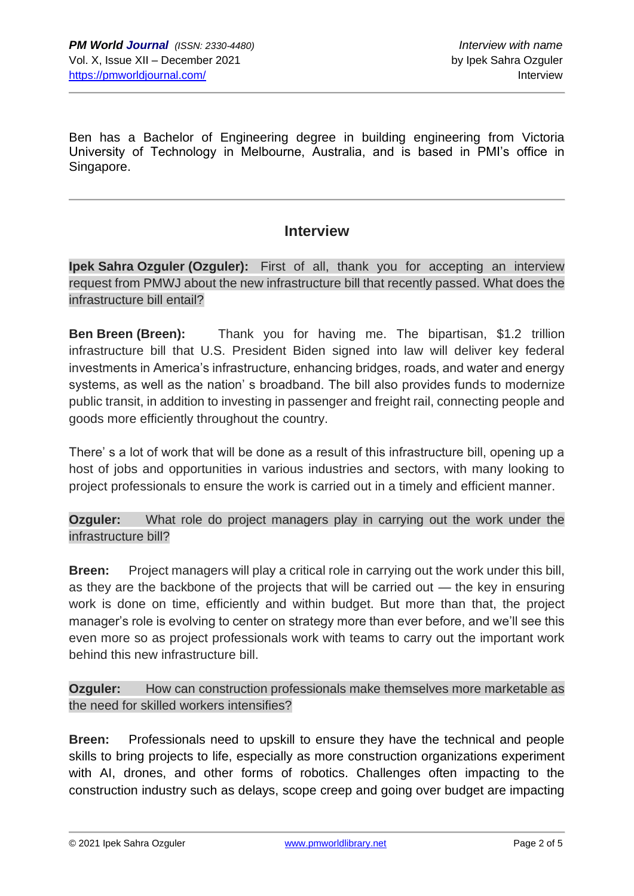Ben has a Bachelor of Engineering degree in building engineering from Victoria University of Technology in Melbourne, Australia, and is based in PMI's office in Singapore.

### **Interview**

**Ipek Sahra Ozguler (Ozguler):** First of all, thank you for accepting an interview request from PMWJ about the new infrastructure bill that recently passed. What does the infrastructure bill entail?

**Ben Breen (Breen):** Thank you for having me. The bipartisan, \$1.2 trillion infrastructure bill that U.S. President Biden signed into law will deliver key federal investments in America's infrastructure, enhancing bridges, roads, and water and energy systems, as well as the nation' s broadband. The bill also provides funds to modernize public transit, in addition to investing in passenger and freight rail, connecting people and goods more efficiently throughout the country.

There' s a lot of work that will be done as a result of this infrastructure bill, opening up a host of jobs and opportunities in various industries and sectors, with many looking to project professionals to ensure the work is carried out in a timely and efficient manner.

**Ozguler:** What role do project managers play in carrying out the work under the infrastructure bill?

**Breen:** Project managers will play a critical role in carrying out the work under this bill, as they are the backbone of the projects that will be carried out — the key in ensuring work is done on time, efficiently and within budget. But more than that, the project manager's role is evolving to center on strategy more than ever before, and we'll see this even more so as project professionals work with teams to carry out the important work behind this new infrastructure bill.

**Ozguler:** How can construction professionals make themselves more marketable as the need for skilled workers intensifies?

**Breen:** Professionals need to upskill to ensure they have the technical and people skills to bring projects to life, especially as more construction organizations experiment with AI, drones, and other forms of robotics. Challenges often impacting to the construction industry such as delays, scope creep and going over budget are impacting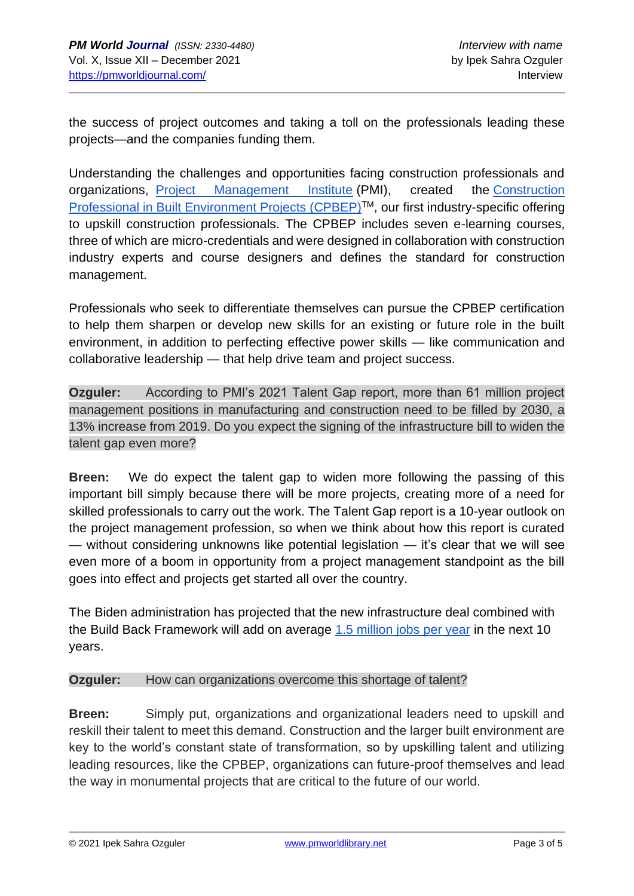the success of project outcomes and taking a toll on the professionals leading these projects—and the companies funding them.

Understanding the challenges and opportunities facing construction professionals and organizations, [Project Management Institute](http://www.pmi.org/) (PMI), created the [Construction](https://www.pmi.org/certifications/construction)  [Professional in Built Environment Projects \(CPBEP\)](https://www.pmi.org/certifications/construction)<sup>™</sup>, our first industry-specific offering to upskill construction professionals. The CPBEP includes seven e-learning courses, three of which are micro-credentials and were designed in collaboration with construction industry experts and course designers and defines the standard for construction management.

Professionals who seek to differentiate themselves can pursue the CPBEP certification to help them sharpen or develop new skills for an existing or future role in the built environment, in addition to perfecting effective power skills — like communication and collaborative leadership — that help drive team and project success.

**Ozguler:** According to PMI's 2021 Talent Gap report, more than 61 million project management positions in manufacturing and construction need to be filled by 2030, a 13% increase from 2019. Do you expect the signing of the infrastructure bill to widen the talent gap even more?

**Breen:** We do expect the talent gap to widen more following the passing of this important bill simply because there will be more projects, creating more of a need for skilled professionals to carry out the work. The Talent Gap report is a 10-year outlook on the project management profession, so when we think about how this report is curated — without considering unknowns like potential legislation — it's clear that we will see even more of a boom in opportunity from a project management standpoint as the bill goes into effect and projects get started all over the country.

The Biden administration has projected that the new infrastructure deal combined with the Build Back Framework will add on average [1.5 million jobs per year](https://www.whitehouse.gov/briefing-room/statements-releases/2021/11/06/fact-sheet-the-bipartisan-infrastructure-deal/) in the next 10 years.

#### **Ozguler:** How can organizations overcome this shortage of talent?

**Breen:** Simply put, organizations and organizational leaders need to upskill and reskill their talent to meet this demand. Construction and the larger built environment are key to the world's constant state of transformation, so by upskilling talent and utilizing leading resources, like the CPBEP, organizations can future-proof themselves and lead the way in monumental projects that are critical to the future of our world.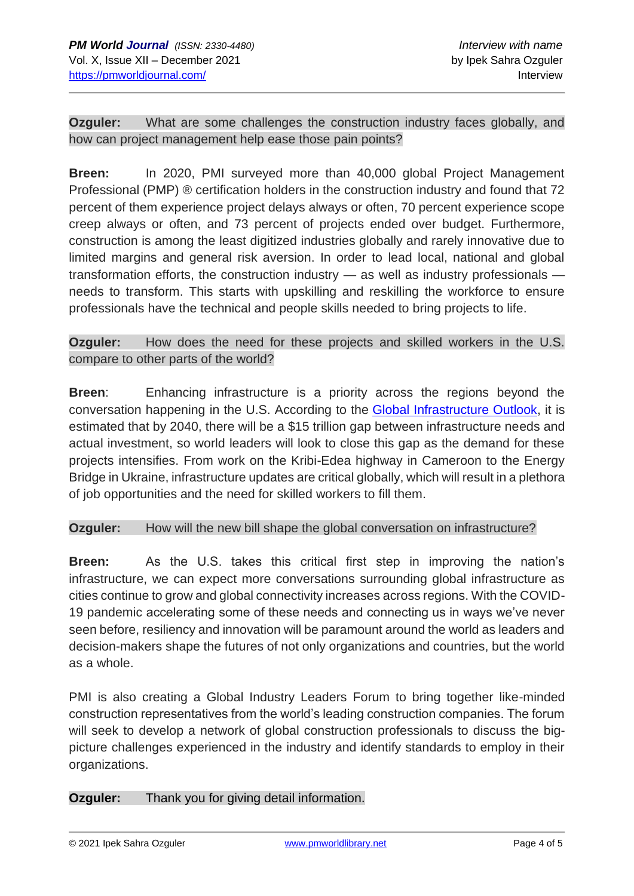**Ozguler:** What are some challenges the construction industry faces globally, and how can project management help ease those pain points?

**Breen:** In 2020, PMI surveyed more than 40,000 global Project Management Professional (PMP) ® certification holders in the construction industry and found that 72 percent of them experience project delays always or often, 70 percent experience scope creep always or often, and 73 percent of projects ended over budget. Furthermore, construction is among the least digitized industries globally and rarely innovative due to limited margins and general risk aversion. In order to lead local, national and global transformation efforts, the construction industry — as well as industry professionals needs to transform. This starts with upskilling and reskilling the workforce to ensure professionals have the technical and people skills needed to bring projects to life.

**Ozguler:** How does the need for these projects and skilled workers in the U.S. compare to other parts of the world?

**Breen**: Enhancing infrastructure is a priority across the regions beyond the conversation happening in the U.S. According to the [Global Infrastructure Outlook,](https://outlook.gihub.org/?utm_source=GIHub+Homepage&utm_medium=Project+tile&utm_campaign=Outlook+GIHub+Tile) it is estimated that by 2040, there will be a \$15 trillion gap between infrastructure needs and actual investment, so world leaders will look to close this gap as the demand for these projects intensifies. From work on the Kribi-Edea highway in Cameroon to the Energy Bridge in Ukraine, infrastructure updates are critical globally, which will result in a plethora of job opportunities and the need for skilled workers to fill them.

#### **Ozguler:** How will the new bill shape the global conversation on infrastructure?

**Breen:** As the U.S. takes this critical first step in improving the nation's infrastructure, we can expect more conversations surrounding global infrastructure as cities continue to grow and global connectivity increases across regions. With the COVID-19 pandemic accelerating some of these needs and connecting us in ways we've never seen before, resiliency and innovation will be paramount around the world as leaders and decision-makers shape the futures of not only organizations and countries, but the world as a whole.

PMI is also creating a Global Industry Leaders Forum to bring together like-minded construction representatives from the world's leading construction companies. The forum will seek to develop a network of global construction professionals to discuss the bigpicture challenges experienced in the industry and identify standards to employ in their organizations.

#### **Ozguler:** Thank you for giving detail information.